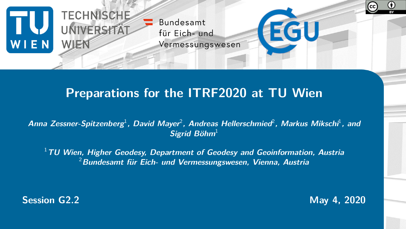

### **Preparations for the ITRF2020 at TU Wien**

Anna Zessner-Spitzenberg<sup>1</sup>, David Mayer<sup>2</sup>, Andreas Hellerschmied<sup>2</sup>, Markus Mikschi<sup>1</sup>, and **Sigrid Böhm**<sup>1</sup>

<sup>1</sup>**TU Wien, Higher Geodesy, Department of Geodesy and Geoinformation, Austria** <sup>2</sup>**Bundesamt für Eich- und Vermessungswesen, Vienna, Austria**

**Session G2.2 May 4, 2020**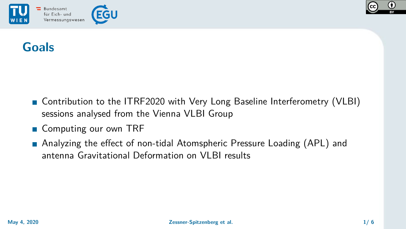



## **Goals**

- Contribution to the ITRF2020 with Very Long Baseline Interferometry (VLBI) sessions analysed from the Vienna VLBI Group
- Computing our own TRF
- Analyzing the effect of non-tidal Atomspheric Pressure Loading (APL) and antenna Gravitational Deformation on VLBI results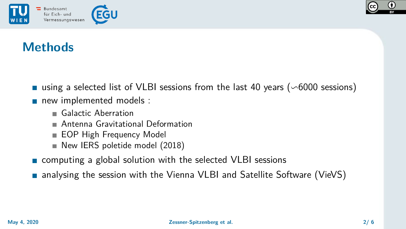



## **Methods**

- using a selected list of VLBI sessions from the last 40 years ( $\sim$ 6000 sessions)
- new implemented models :
	- Galactic Aberration
	- **Antenna Gravitational Deformation**
	- EOP High Frequency Model
	- New IERS poletide model (2018)
- **Exercise 2** computing a global solution with the selected VLBI sessions
- **n** analysing the session with the Vienna VLBI and Satellite Software (VieVS)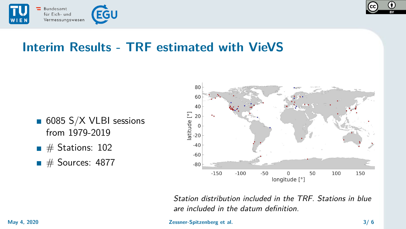



## **Interim Results - TRF estimated with VieVS**

- 6085 S/X VLBI sessions from 1979-2019
- $\blacksquare$  # Stations: 102
- $\blacksquare$  # Sources: 4877



Station distribution included in the TRF. Stations in blue are included in the datum definition.

### **May 4, 2020 Zessner-Spitzenberg et al. 3/ 6**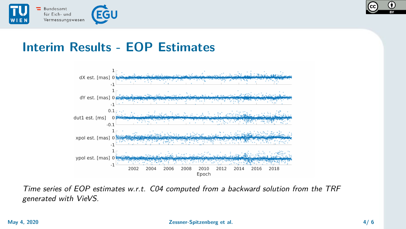

# **Interim Results - EOP Estimates**



Time series of EOP estimates w.r.t. C04 computed from a backward solution from the TRF generated with VieVS.

### **May 4, 2020 Zessner-Spitzenberg et al. 4/ 6**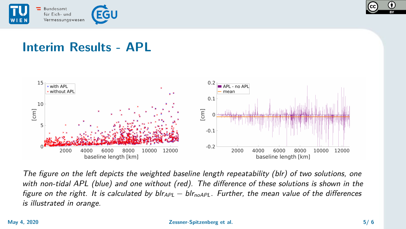



## **Interim Results - APL**



The figure on the left depicts the weighted baseline length repeatability (blr) of two solutions, one with non-tidal APL (blue) and one without (red). The difference of these solutions is shown in the figure on the right. It is calculated by  $blr_{APL} - blr_{noAPL}$ . Further, the mean value of the differences is illustrated in orange.

#### **May 4, 2020 Zessner-Spitzenberg et al. 5/ 6**